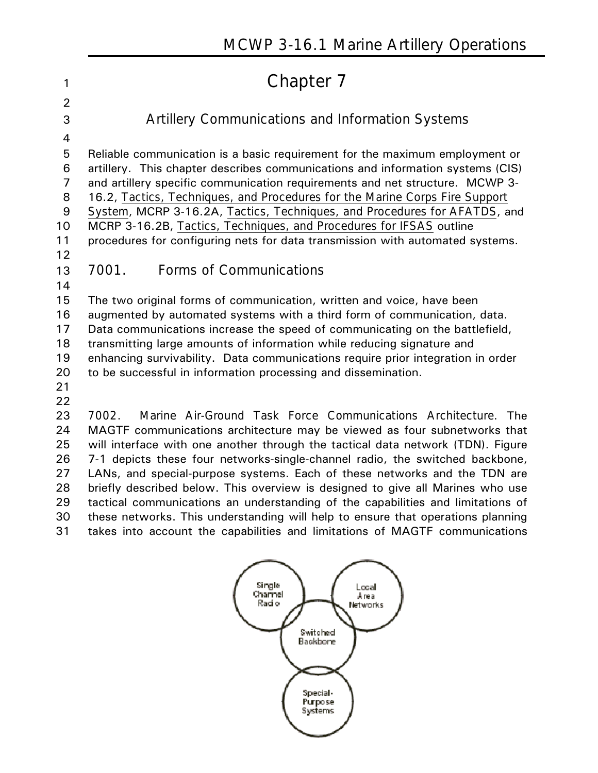## **Chapter 7**

### **Artillery Communications and Information Systems**

 Reliable communication is a basic requirement for the maximum employment or artillery. This chapter describes communications and information systems (CIS) and artillery specific communication requirements and net structure. MCWP 3- 16.2, *Tactics, Techniques, and Procedures for the Marine Corps Fire Support System*, MCRP 3-16.2A, *Tactics, Techniques, and Procedures for AFATDS*, and MCRP 3-16.2B, *Tactics, Techniques, and Procedures for IFSAS* outline

procedures for configuring nets for data transmission with automated systems.

#### 

#### **7001. Forms of Communications**

 The two original forms of communication, written and voice, have been augmented by automated systems with a third form of communication, data. Data communications increase the speed of communicating on the battlefield, transmitting large amounts of information while reducing signature and enhancing survivability. Data communications require prior integration in order to be successful in information processing and dissemination.

 

 **7002. Marine Air-Ground Task Force Communications Architecture.** The MAGTF communications architecture may be viewed as four subnetworks that will interface with one another through the tactical data network (TDN). Figure 7-1 depicts these four networks-single-channel radio, the switched backbone, LANs, and special-purpose systems. Each of these networks and the TDN are briefly described below. This overview is designed to give all Marines who use tactical communications an understanding of the capabilities and limitations of these networks. This understanding will help to ensure that operations planning takes into account the capabilities and limitations of MAGTF communications

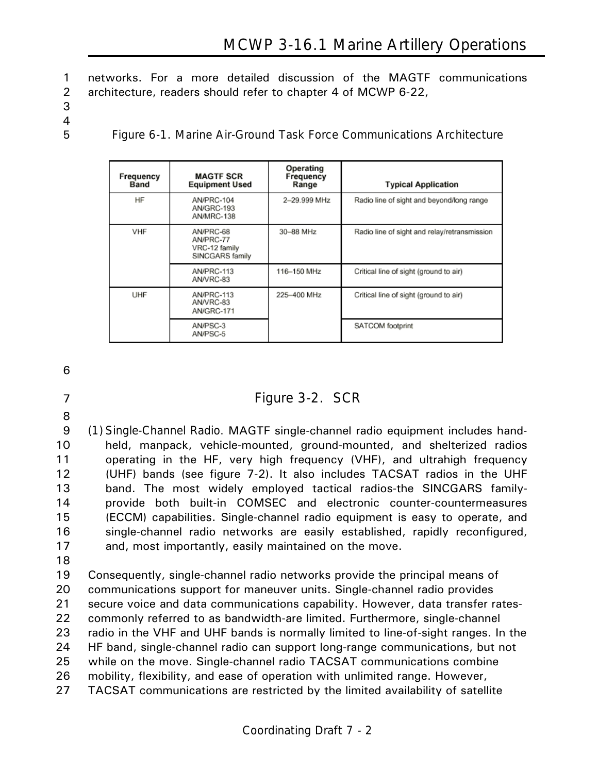networks. For a more detailed discussion of the MAGTF communications

- architecture, readers should refer to chapter 4 of MCWP 6-22,
- 
- 
- 

**Figure 6-1. Marine Air-Ground Task Force Communications Architecture**

| Frequency<br>Band | <b>MAGTF SCR</b><br><b>Equipment Used</b>                  | Operating<br>Frequency<br>Range | <b>Typical Application</b>                   |
|-------------------|------------------------------------------------------------|---------------------------------|----------------------------------------------|
| <b>HF</b>         | AN/PRC-104<br>AN/GRC-193<br>AN/MRC-138                     | 2-29.999 MHz                    | Radio line of sight and beyond/long range    |
| VHF               | AN/PRC-68<br>AN/PRC-77<br>VRC-12 family<br>SINCGARS family | 30-88 MHz                       | Radio line of sight and relay/retransmission |
|                   | AN/PRC-113<br>AN/VRC-83                                    | 116-150 MHz                     | Critical line of sight (ground to air)       |
| UHF               | AN/PRC-113<br>AN/VRC-83<br>AN/GRC-171                      | 225-400 MHz                     | Critical line of sight (ground to air)       |
|                   | AN/PSC-3<br>AN/PSC-5                                       |                                 | SATCOM footprint                             |

#### **Figure 3-2. SCR**

 **(1) Single-Channel Radio.** MAGTF single-channel radio equipment includes hand- held, manpack, vehicle-mounted, ground-mounted, and shelterized radios operating in the HF, very high frequency (VHF), and ultrahigh frequency (UHF) bands (see figure 7-2). It also includes TACSAT radios in the UHF band. The most widely employed tactical radios-the SINCGARS family- provide both built-in COMSEC and electronic counter-countermeasures (ECCM) capabilities. Single-channel radio equipment is easy to operate, and single-channel radio networks are easily established, rapidly reconfigured, and, most importantly, easily maintained on the move.

 Consequently, single-channel radio networks provide the principal means of communications support for maneuver units. Single-channel radio provides secure voice and data communications capability. However, data transfer rates- commonly referred to as bandwidth-are limited. Furthermore, single-channel radio in the VHF and UHF bands is normally limited to line-of-sight ranges. In the HF band, single-channel radio can support long-range communications, but not while on the move. Single-channel radio TACSAT communications combine mobility, flexibility, and ease of operation with unlimited range. However, TACSAT communications are restricted by the limited availability of satellite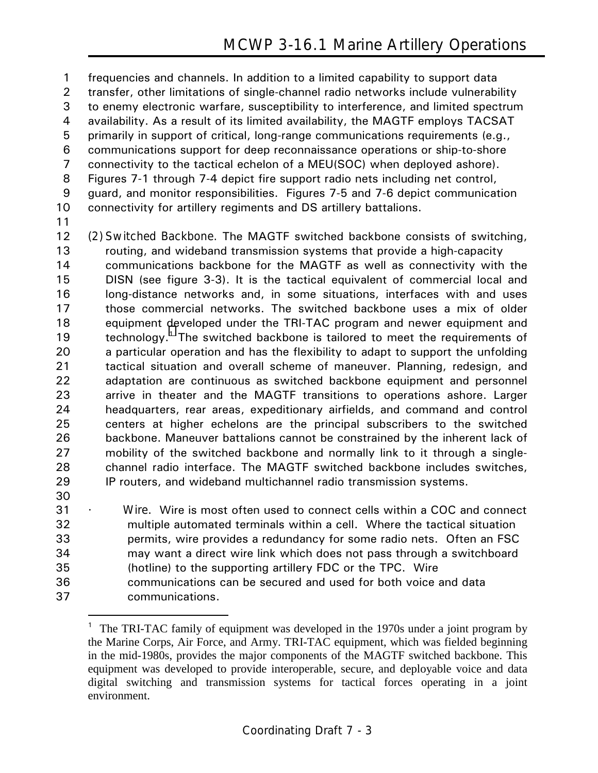frequencies and channels. In addition to a limited capability to support data transfer, other limitations of single-channel radio networks include vulnerability to enemy electronic warfare, susceptibility to interference, and limited spectrum availability. As a result of its limited availability, the MAGTF employs TACSAT primarily in support of critical, long-range communications requirements (e.g., communications support for deep reconnaissance operations or ship-to-shore connectivity to the tactical echelon of a MEU(SOC) when deployed ashore). Figures 7-1 through 7-4 depict fire support radio nets including net control, guard, and monitor responsibilities. Figures 7-5 and 7-6 depict communication connectivity for artillery regiments and DS artillery battalions.

 **(2) Switched Backbone.** The MAGTF switched backbone consists of switching, routing, and wideband transmission systems that provide a high-capacity communications backbone for the MAGTF as well as connectivity with the DISN (see figure 3-3). It is the tactical equivalent of commercial local and 16 long-distance networks and, in some situations, interfaces with and uses those commercial networks. The switched backbone uses a mix of older equipment developed under the TRI-TAC program and newer equipment and 19 technology.<sup>1</sup> The switched backbone is tailored to meet the requirements of a particular operation and has the flexibility to adapt to support the unfolding tactical situation and overall scheme of maneuver. Planning, redesign, and adaptation are continuous as switched backbone equipment and personnel arrive in theater and the MAGTF transitions to operations ashore. Larger headquarters, rear areas, expeditionary airfields, and command and control centers at higher echelons are the principal subscribers to the switched backbone. Maneuver battalions cannot be constrained by the inherent lack of mobility of the switched backbone and normally link to it through a single- channel radio interface. The MAGTF switched backbone includes switches, IP routers, and wideband multichannel radio transmission systems.

 $\overline{a}$ 

 ∙ **Wire**. Wire is most often used to connect cells within a COC and connect multiple automated terminals within a cell. Where the tactical situation permits, wire provides a redundancy for some radio nets. Often an FSC may want a direct wire link which does not pass through a switchboard (hotline) to the supporting artillery FDC or the TPC. Wire communications can be secured and used for both voice and data communications.

The TRI-TAC family of equipment was developed in the 1970s under a joint program by the Marine Corps, Air Force, and Army. TRI-TAC equipment, which was fielded beginning in the mid-1980s, provides the major components of the MAGTF switched backbone. This equipment was developed to provide interoperable, secure, and deployable voice and data digital switching and transmission systems for tactical forces operating in a joint environment.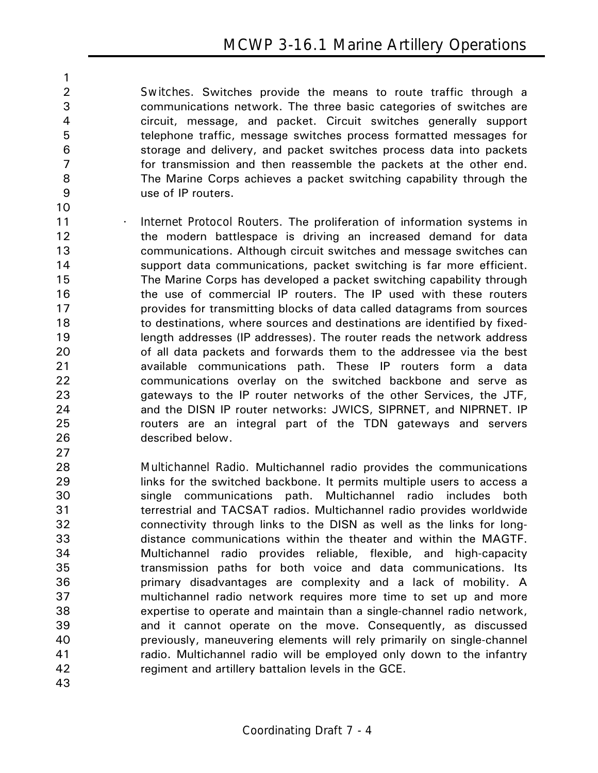**Switches.** Switches provide the means to route traffic through a communications network. The three basic categories of switches are circuit, message, and packet. Circuit switches generally support telephone traffic, message switches process formatted messages for storage and delivery, and packet switches process data into packets for transmission and then reassemble the packets at the other end. The Marine Corps achieves a packet switching capability through the use of IP routers.

- ∙ **Internet Protocol Routers.** The proliferation of information systems in the modern battlespace is driving an increased demand for data communications. Although circuit switches and message switches can 14 support data communications, packet switching is far more efficient. The Marine Corps has developed a packet switching capability through **the use of commercial IP routers.** The IP used with these routers provides for transmitting blocks of data called datagrams from sources to destinations, where sources and destinations are identified by fixed- length addresses (IP addresses). The router reads the network address of all data packets and forwards them to the addressee via the best available communications path. These IP routers form a data communications overlay on the switched backbone and serve as gateways to the IP router networks of the other Services, the JTF, and the DISN IP router networks: JWICS, SIPRNET, and NIPRNET. IP routers are an integral part of the TDN gateways and servers described below.
- **Multichannel Radio.** Multichannel radio provides the communications **III** links for the switched backbone. It permits multiple users to access a single communications path. Multichannel radio includes both terrestrial and TACSAT radios. Multichannel radio provides worldwide connectivity through links to the DISN as well as the links for long- distance communications within the theater and within the MAGTF. Multichannel radio provides reliable, flexible, and high-capacity transmission paths for both voice and data communications. Its primary disadvantages are complexity and a lack of mobility. A multichannel radio network requires more time to set up and more expertise to operate and maintain than a single-channel radio network, and it cannot operate on the move. Consequently, as discussed previously, maneuvering elements will rely primarily on single-channel radio. Multichannel radio will be employed only down to the infantry regiment and artillery battalion levels in the GCE.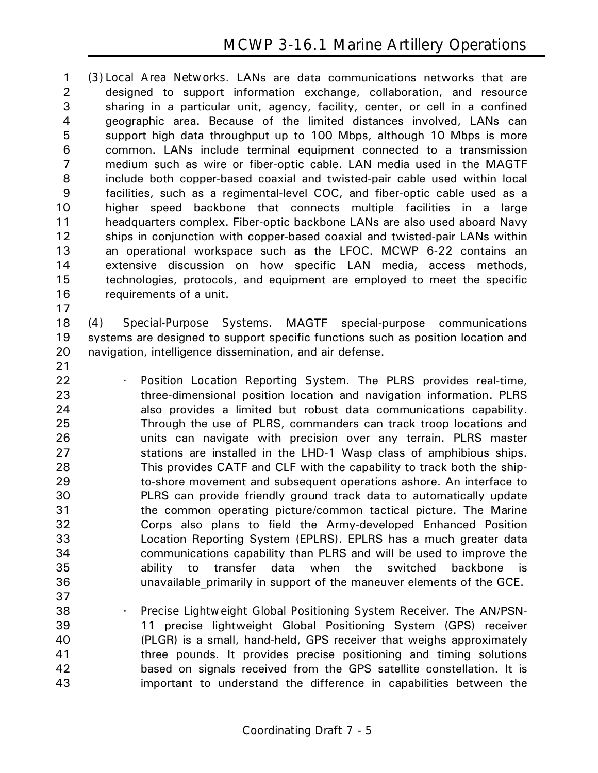**(3) Local Area Networks.** LANs are data communications networks that are designed to support information exchange, collaboration, and resource sharing in a particular unit, agency, facility, center, or cell in a confined geographic area. Because of the limited distances involved, LANs can support high data throughput up to 100 Mbps, although 10 Mbps is more common. LANs include terminal equipment connected to a transmission medium such as wire or fiber-optic cable. LAN media used in the MAGTF include both copper-based coaxial and twisted-pair cable used within local facilities, such as a regimental-level COC, and fiber-optic cable used as a higher speed backbone that connects multiple facilities in a large headquarters complex. Fiber-optic backbone LANs are also used aboard Navy ships in conjunction with copper-based coaxial and twisted-pair LANs within an operational workspace such as the LFOC. MCWP 6-22 contains an extensive discussion on how specific LAN media, access methods, technologies, protocols, and equipment are employed to meet the specific requirements of a unit.

 **(4) Special-Purpose Systems.** MAGTF special-purpose communications systems are designed to support specific functions such as position location and navigation, intelligence dissemination, and air defense.

- ∙ **Position Location Reporting System.** The PLRS provides real-time, three-dimensional position location and navigation information. PLRS also provides a limited but robust data communications capability. Through the use of PLRS, commanders can track troop locations and units can navigate with precision over any terrain. PLRS master stations are installed in the LHD-1 Wasp class of amphibious ships. This provides CATF and CLF with the capability to track both the ship- to-shore movement and subsequent operations ashore. An interface to PLRS can provide friendly ground track data to automatically update the common operating picture/common tactical picture. The Marine Corps also plans to field the Army-developed Enhanced Position Location Reporting System (EPLRS). EPLRS has a much greater data communications capability than PLRS and will be used to improve the ability to transfer data when the switched backbone is unavailable\_primarily in support of the maneuver elements of the GCE.
- ∙ **Precise Lightweight Global Positioning System Receiver.** The AN/PSN- 11 precise lightweight Global Positioning System (GPS) receiver (PLGR) is a small, hand-held, GPS receiver that weighs approximately three pounds. It provides precise positioning and timing solutions based on signals received from the GPS satellite constellation. It is important to understand the difference in capabilities between the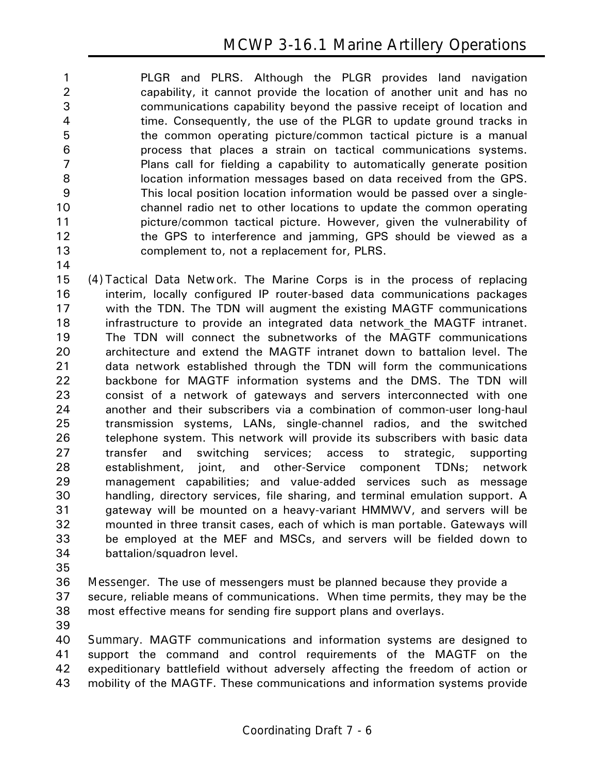PLGR and PLRS. Although the PLGR provides land navigation capability, it cannot provide the location of another unit and has no communications capability beyond the passive receipt of location and time. Consequently, the use of the PLGR to update ground tracks in the common operating picture/common tactical picture is a manual process that places a strain on tactical communications systems. Plans call for fielding a capability to automatically generate position location information messages based on data received from the GPS. This local position location information would be passed over a single- channel radio net to other locations to update the common operating picture/common tactical picture. However, given the vulnerability of 12 the GPS to interference and jamming, GPS should be viewed as a complement to, not a replacement for, PLRS.

- **(4) Tactical Data Network.** The Marine Corps is in the process of replacing interim, locally configured IP router-based data communications packages with the TDN. The TDN will augment the existing MAGTF communications 18 infrastructure to provide an integrated data network the MAGTF intranet. The TDN will connect the subnetworks of the MAGTF communications architecture and extend the MAGTF intranet down to battalion level. The data network established through the TDN will form the communications backbone for MAGTF information systems and the DMS. The TDN will consist of a network of gateways and servers interconnected with one another and their subscribers via a combination of common-user long-haul transmission systems, LANs, single-channel radios, and the switched telephone system. This network will provide its subscribers with basic data transfer and switching services; access to strategic, supporting establishment, joint, and other-Service component TDNs; network management capabilities; and value-added services such as message handling, directory services, file sharing, and terminal emulation support. A gateway will be mounted on a heavy-variant HMMWV, and servers will be mounted in three transit cases, each of which is man portable. Gateways will be employed at the MEF and MSCs, and servers will be fielded down to battalion/squadron level.
- 

 **Messenger**. The use of messengers must be planned because they provide a secure, reliable means of communications. When time permits, they may be the most effective means for sending fire support plans and overlays.

 **Summary.** MAGTF communications and information systems are designed to support the command and control requirements of the MAGTF on the expeditionary battlefield without adversely affecting the freedom of action or mobility of the MAGTF. These communications and information systems provide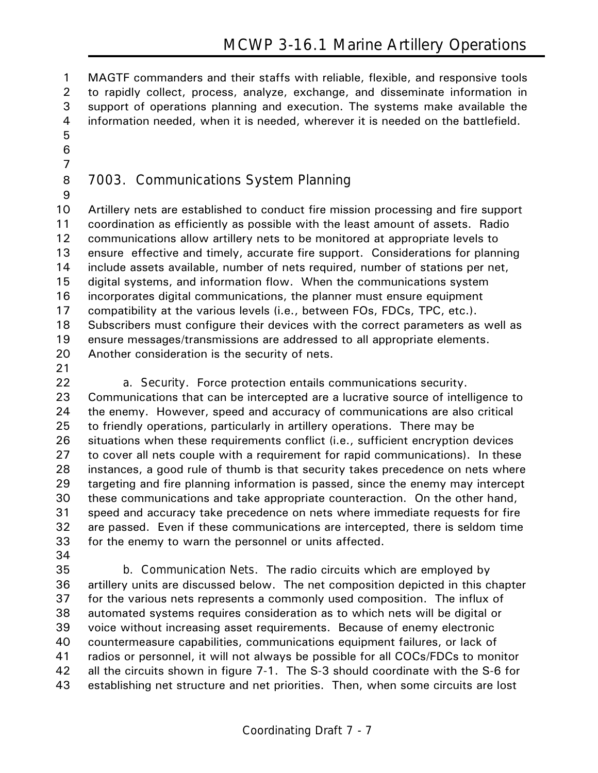MAGTF commanders and their staffs with reliable, flexible, and responsive tools to rapidly collect, process, analyze, exchange, and disseminate information in support of operations planning and execution. The systems make available the information needed, when it is needed, wherever it is needed on the battlefield. 

- 
- 

### **7003. Communications System Planning**

 Artillery nets are established to conduct fire mission processing and fire support coordination as efficiently as possible with the least amount of assets. Radio communications allow artillery nets to be monitored at appropriate levels to ensure effective and timely, accurate fire support. Considerations for planning include assets available, number of nets required, number of stations per net, digital systems, and information flow. When the communications system incorporates digital communications, the planner must ensure equipment compatibility at the various levels (i.e., between FOs, FDCs, TPC, etc.). Subscribers must configure their devices with the correct parameters as well as ensure messages/transmissions are addressed to all appropriate elements. Another consideration is the security of nets.

**a. Security**. Force protection entails communications security. Communications that can be intercepted are a lucrative source of intelligence to the enemy. However, speed and accuracy of communications are also critical to friendly operations, particularly in artillery operations. There may be situations when these requirements conflict (i.e., sufficient encryption devices to cover all nets couple with a requirement for rapid communications). In these instances, a good rule of thumb is that security takes precedence on nets where targeting and fire planning information is passed, since the enemy may intercept these communications and take appropriate counteraction. On the other hand, speed and accuracy take precedence on nets where immediate requests for fire are passed. Even if these communications are intercepted, there is seldom time for the enemy to warn the personnel or units affected.

 **b. Communication Nets**. The radio circuits which are employed by artillery units are discussed below. The net composition depicted in this chapter for the various nets represents a commonly used composition. The influx of automated systems requires consideration as to which nets will be digital or voice without increasing asset requirements. Because of enemy electronic countermeasure capabilities, communications equipment failures, or lack of radios or personnel, it will not always be possible for all COCs/FDCs to monitor all the circuits shown in figure 7-1. The S-3 should coordinate with the S-6 for establishing net structure and net priorities. Then, when some circuits are lost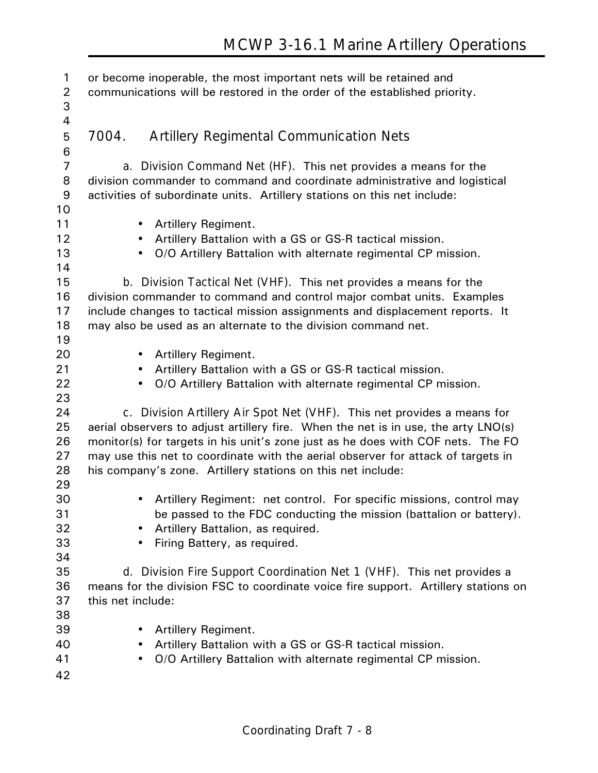| 1<br>$\overline{2}$<br>3  |                   | or become inoperable, the most important nets will be retained and<br>communications will be restored in the order of the established priority.        |
|---------------------------|-------------------|--------------------------------------------------------------------------------------------------------------------------------------------------------|
| 4<br>$\mathbf 5$<br>$\,6$ | 7004.             | <b>Artillery Regimental Communication Nets</b>                                                                                                         |
| $\overline{7}$            |                   | a. Division Command Net (HF). This net provides a means for the                                                                                        |
| 8<br>9                    |                   | division commander to command and coordinate administrative and logistical<br>activities of subordinate units. Artillery stations on this net include: |
| 10                        |                   |                                                                                                                                                        |
| 11                        |                   | <b>Artillery Regiment.</b><br>$\bullet$                                                                                                                |
| 12                        |                   | Artillery Battalion with a GS or GS-R tactical mission.<br>$\bullet$                                                                                   |
| 13                        |                   | O/O Artillery Battalion with alternate regimental CP mission.<br>$\bullet$                                                                             |
| 14                        |                   |                                                                                                                                                        |
| 15                        |                   | b. Division Tactical Net (VHF). This net provides a means for the                                                                                      |
| 16                        |                   | division commander to command and control major combat units. Examples                                                                                 |
| 17                        |                   | include changes to tactical mission assignments and displacement reports. It                                                                           |
| 18                        |                   | may also be used as an alternate to the division command net.                                                                                          |
| 19                        |                   |                                                                                                                                                        |
| 20                        |                   | Artillery Regiment.<br>$\bullet$                                                                                                                       |
| 21                        |                   | Artillery Battalion with a GS or GS-R tactical mission.<br>$\bullet$                                                                                   |
| 22                        |                   | O/O Artillery Battalion with alternate regimental CP mission.<br>$\bullet$                                                                             |
| 23                        |                   |                                                                                                                                                        |
| 24                        |                   | c. Division Artillery Air Spot Net (VHF). This net provides a means for                                                                                |
| 25                        |                   | aerial observers to adjust artillery fire. When the net is in use, the arty LNO(s)                                                                     |
| 26                        |                   | monitor(s) for targets in his unit's zone just as he does with COF nets. The FO                                                                        |
| 27                        |                   | may use this net to coordinate with the aerial observer for attack of targets in                                                                       |
| 28                        |                   | his company's zone. Artillery stations on this net include:                                                                                            |
| 29                        |                   |                                                                                                                                                        |
| 30<br>31                  |                   | Artillery Regiment: net control. For specific missions, control may                                                                                    |
| 32                        |                   | be passed to the FDC conducting the mission (battalion or battery).<br>Artillery Battalion, as required.                                               |
| 33                        |                   | Firing Battery, as required.                                                                                                                           |
| 34                        |                   |                                                                                                                                                        |
| 35                        |                   | d. Division Fire Support Coordination Net 1 (VHF). This net provides a                                                                                 |
| 36                        |                   | means for the division FSC to coordinate voice fire support. Artillery stations on                                                                     |
| 37                        | this net include: |                                                                                                                                                        |
| 38                        |                   |                                                                                                                                                        |
| 39                        |                   | Artillery Regiment.                                                                                                                                    |
| 40                        |                   | Artillery Battalion with a GS or GS-R tactical mission.                                                                                                |
| 41                        |                   | O/O Artillery Battalion with alternate regimental CP mission.                                                                                          |
| 42                        |                   |                                                                                                                                                        |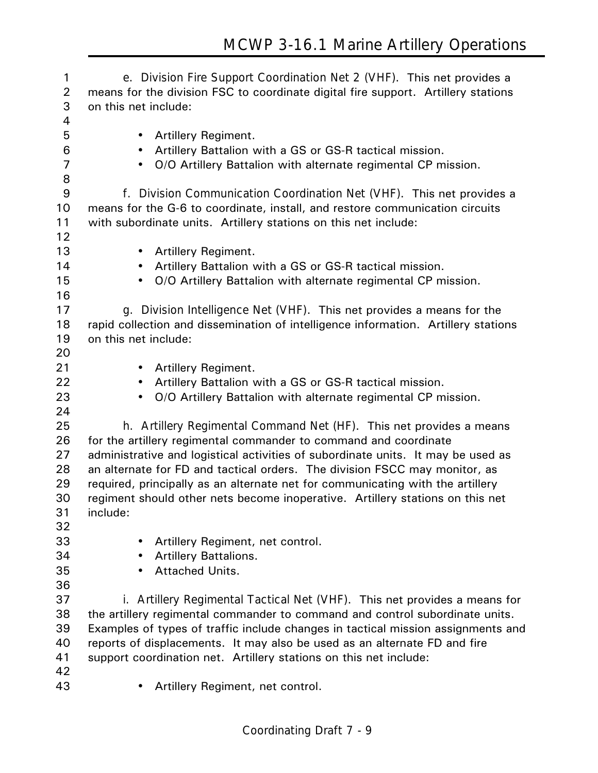| 1              | e. Division Fire Support Coordination Net 2 (VHF). This net provides a             |
|----------------|------------------------------------------------------------------------------------|
| $\overline{2}$ | means for the division FSC to coordinate digital fire support. Artillery stations  |
| 3              | on this net include:                                                               |
| 4              |                                                                                    |
| 5              | <b>Artillery Regiment.</b>                                                         |
| 6              | Artillery Battalion with a GS or GS-R tactical mission.<br>$\bullet$               |
| $\overline{7}$ | O/O Artillery Battalion with alternate regimental CP mission.                      |
| 8              |                                                                                    |
| 9              | f. Division Communication Coordination Net (VHF). This net provides a              |
| 10             | means for the G-6 to coordinate, install, and restore communication circuits       |
| 11             | with subordinate units. Artillery stations on this net include:                    |
| 12             |                                                                                    |
| 13             | <b>Artillery Regiment.</b><br>$\bullet$                                            |
| 14             | Artillery Battalion with a GS or GS-R tactical mission.<br>$\bullet$               |
| 15             | O/O Artillery Battalion with alternate regimental CP mission.<br>$\bullet$         |
| 16             |                                                                                    |
| 17             | g. Division Intelligence Net (VHF). This net provides a means for the              |
| 18             | rapid collection and dissemination of intelligence information. Artillery stations |
| 19             | on this net include:                                                               |
| 20             |                                                                                    |
| 21             | Artillery Regiment.<br>$\bullet$                                                   |
| 22             | Artillery Battalion with a GS or GS-R tactical mission.<br>$\bullet$               |
| 23             | O/O Artillery Battalion with alternate regimental CP mission.                      |
| 24             |                                                                                    |
| 25             | h. Artillery Regimental Command Net (HF). This net provides a means                |
| 26             | for the artillery regimental commander to command and coordinate                   |
| 27             | administrative and logistical activities of subordinate units. It may be used as   |
| 28             | an alternate for FD and tactical orders. The division FSCC may monitor, as         |
| 29             | required, principally as an alternate net for communicating with the artillery     |
| 30             | regiment should other nets become inoperative. Artillery stations on this net      |
| 31             | include:                                                                           |
| 32             |                                                                                    |
| 33             | Artillery Regiment, net control.                                                   |
| 34             | <b>Artillery Battalions.</b>                                                       |
| 35             | $\bullet$<br><b>Attached Units.</b>                                                |
|                |                                                                                    |
| 36             |                                                                                    |
| 37             | i. Artillery Regimental Tactical Net (VHF). This net provides a means for          |
| 38             | the artillery regimental commander to command and control subordinate units.       |
| 39             | Examples of types of traffic include changes in tactical mission assignments and   |
| 40             | reports of displacements. It may also be used as an alternate FD and fire          |
| 41             | support coordination net. Artillery stations on this net include:                  |
| 42             |                                                                                    |
| 43             | Artillery Regiment, net control.                                                   |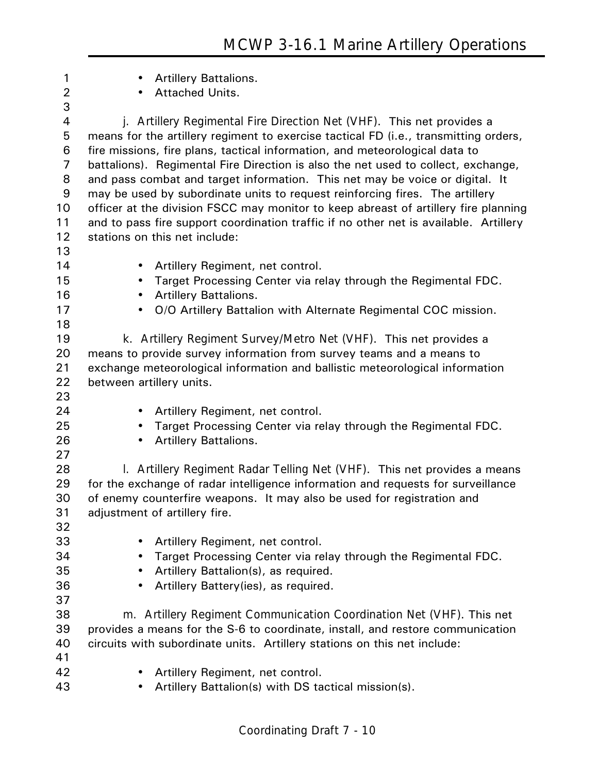| $\mathbf{1}$   | <b>Artillery Battalions.</b><br>$\bullet$                                             |
|----------------|---------------------------------------------------------------------------------------|
| $\overline{2}$ | <b>Attached Units.</b><br>$\bullet$                                                   |
| 3              |                                                                                       |
| 4              | j. Artillery Regimental Fire Direction Net (VHF). This net provides a                 |
| 5              | means for the artillery regiment to exercise tactical FD (i.e., transmitting orders,  |
| 6              | fire missions, fire plans, tactical information, and meteorological data to           |
| 7              | battalions). Regimental Fire Direction is also the net used to collect, exchange,     |
| 8              | and pass combat and target information. This net may be voice or digital. It          |
| 9              | may be used by subordinate units to request reinforcing fires. The artillery          |
| 10             | officer at the division FSCC may monitor to keep abreast of artillery fire planning   |
| 11             | and to pass fire support coordination traffic if no other net is available. Artillery |
| 12             | stations on this net include:                                                         |
| 13             |                                                                                       |
| 14             | Artillery Regiment, net control.<br>$\bullet$                                         |
| 15             | Target Processing Center via relay through the Regimental FDC.<br>$\bullet$           |
| 16             | Artillery Battalions.<br>$\bullet$                                                    |
| 17             | O/O Artillery Battalion with Alternate Regimental COC mission.<br>$\bullet$           |
| 18             |                                                                                       |
| 19             | k. Artillery Regiment Survey/Metro Net (VHF). This net provides a                     |
| 20             | means to provide survey information from survey teams and a means to                  |
| 21             | exchange meteorological information and ballistic meteorological information          |
| 22             | between artillery units.                                                              |
| 23             |                                                                                       |
| 24             | Artillery Regiment, net control.<br>$\bullet$                                         |
| 25             | Target Processing Center via relay through the Regimental FDC.<br>$\bullet$           |
| 26             | <b>Artillery Battalions.</b><br>$\bullet$                                             |
| 27             |                                                                                       |
| 28             | I. Artillery Regiment Radar Telling Net (VHF). This net provides a means              |
| 29             | for the exchange of radar intelligence information and requests for surveillance      |
| 30             | of enemy counterfire weapons. It may also be used for registration and                |
| 31             | adjustment of artillery fire.                                                         |
| 32             |                                                                                       |
| 33             | Artillery Regiment, net control.                                                      |
| 34             | Target Processing Center via relay through the Regimental FDC.                        |
| 35             | Artillery Battalion(s), as required.                                                  |
| 36             | Artillery Battery (ies), as required.                                                 |
| 37             |                                                                                       |
| 38             | m. Artillery Regiment Communication Coordination Net (VHF). This net                  |
| 39             | provides a means for the S-6 to coordinate, install, and restore communication        |
| 40             | circuits with subordinate units. Artillery stations on this net include:              |
| 41             |                                                                                       |
| 42             | Artillery Regiment, net control.                                                      |
| 43             | Artillery Battalion(s) with DS tactical mission(s).                                   |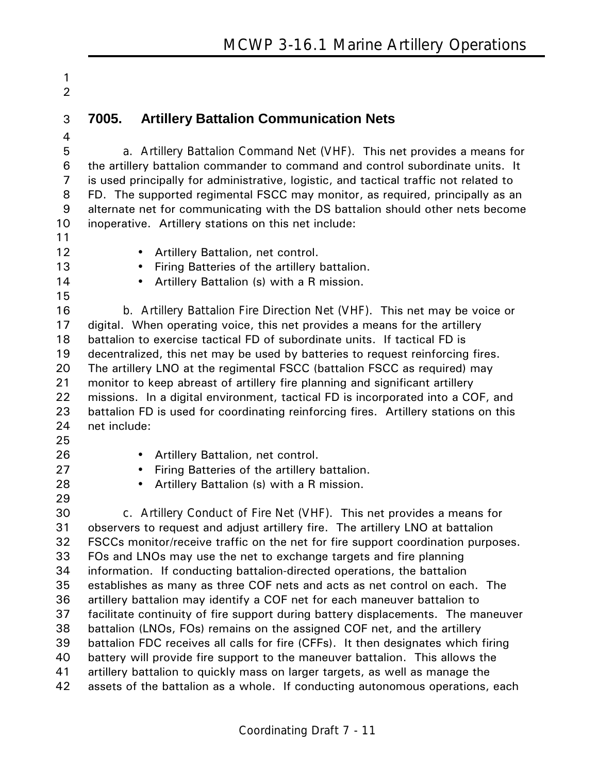| 3<br>7005.<br><b>Artillery Battalion Communication Nets</b><br>4<br>5<br>a. Artillery Battalion Command Net (VHF). This net provides a means for<br>6<br>the artillery battalion commander to command and control subordinate units. It<br>$\overline{7}$<br>is used principally for administrative, logistic, and tactical traffic not related to<br>8<br>FD. The supported regimental FSCC may monitor, as required, principally as an<br>9<br>alternate net for communicating with the DS battalion should other nets become<br>10<br>inoperative. Artillery stations on this net include:<br>11<br>12<br>Artillery Battalion, net control. |  |
|------------------------------------------------------------------------------------------------------------------------------------------------------------------------------------------------------------------------------------------------------------------------------------------------------------------------------------------------------------------------------------------------------------------------------------------------------------------------------------------------------------------------------------------------------------------------------------------------------------------------------------------------|--|
|                                                                                                                                                                                                                                                                                                                                                                                                                                                                                                                                                                                                                                                |  |
|                                                                                                                                                                                                                                                                                                                                                                                                                                                                                                                                                                                                                                                |  |
|                                                                                                                                                                                                                                                                                                                                                                                                                                                                                                                                                                                                                                                |  |
|                                                                                                                                                                                                                                                                                                                                                                                                                                                                                                                                                                                                                                                |  |
|                                                                                                                                                                                                                                                                                                                                                                                                                                                                                                                                                                                                                                                |  |
|                                                                                                                                                                                                                                                                                                                                                                                                                                                                                                                                                                                                                                                |  |
|                                                                                                                                                                                                                                                                                                                                                                                                                                                                                                                                                                                                                                                |  |
|                                                                                                                                                                                                                                                                                                                                                                                                                                                                                                                                                                                                                                                |  |
|                                                                                                                                                                                                                                                                                                                                                                                                                                                                                                                                                                                                                                                |  |
| 13<br>Firing Batteries of the artillery battalion.                                                                                                                                                                                                                                                                                                                                                                                                                                                                                                                                                                                             |  |
| 14<br>Artillery Battalion (s) with a R mission.<br>$\bullet$                                                                                                                                                                                                                                                                                                                                                                                                                                                                                                                                                                                   |  |
| 15                                                                                                                                                                                                                                                                                                                                                                                                                                                                                                                                                                                                                                             |  |
| 16<br>b. Artillery Battalion Fire Direction Net (VHF). This net may be voice or                                                                                                                                                                                                                                                                                                                                                                                                                                                                                                                                                                |  |
| 17<br>digital. When operating voice, this net provides a means for the artillery                                                                                                                                                                                                                                                                                                                                                                                                                                                                                                                                                               |  |
| battalion to exercise tactical FD of subordinate units. If tactical FD is<br>18                                                                                                                                                                                                                                                                                                                                                                                                                                                                                                                                                                |  |
| 19<br>decentralized, this net may be used by batteries to request reinforcing fires.                                                                                                                                                                                                                                                                                                                                                                                                                                                                                                                                                           |  |
| 20<br>The artillery LNO at the regimental FSCC (battalion FSCC as required) may                                                                                                                                                                                                                                                                                                                                                                                                                                                                                                                                                                |  |
| 21<br>monitor to keep abreast of artillery fire planning and significant artillery                                                                                                                                                                                                                                                                                                                                                                                                                                                                                                                                                             |  |
| 22<br>missions. In a digital environment, tactical FD is incorporated into a COF, and                                                                                                                                                                                                                                                                                                                                                                                                                                                                                                                                                          |  |
| 23<br>battalion FD is used for coordinating reinforcing fires. Artillery stations on this<br>net include:                                                                                                                                                                                                                                                                                                                                                                                                                                                                                                                                      |  |
| 24<br>25                                                                                                                                                                                                                                                                                                                                                                                                                                                                                                                                                                                                                                       |  |
| 26<br>Artillery Battalion, net control.<br>$\bullet$                                                                                                                                                                                                                                                                                                                                                                                                                                                                                                                                                                                           |  |
| 27<br>Firing Batteries of the artillery battalion.<br>$\bullet$                                                                                                                                                                                                                                                                                                                                                                                                                                                                                                                                                                                |  |
| 28<br>Artillery Battalion (s) with a R mission.                                                                                                                                                                                                                                                                                                                                                                                                                                                                                                                                                                                                |  |
| 29                                                                                                                                                                                                                                                                                                                                                                                                                                                                                                                                                                                                                                             |  |
| 30<br>c. Artillery Conduct of Fire Net (VHF). This net provides a means for                                                                                                                                                                                                                                                                                                                                                                                                                                                                                                                                                                    |  |
| 31<br>observers to request and adjust artillery fire. The artillery LNO at battalion                                                                                                                                                                                                                                                                                                                                                                                                                                                                                                                                                           |  |
| 32<br>FSCCs monitor/receive traffic on the net for fire support coordination purposes.                                                                                                                                                                                                                                                                                                                                                                                                                                                                                                                                                         |  |
| 33<br>FOs and LNOs may use the net to exchange targets and fire planning                                                                                                                                                                                                                                                                                                                                                                                                                                                                                                                                                                       |  |
| 34<br>information. If conducting battalion-directed operations, the battalion                                                                                                                                                                                                                                                                                                                                                                                                                                                                                                                                                                  |  |
| 35<br>establishes as many as three COF nets and acts as net control on each. The                                                                                                                                                                                                                                                                                                                                                                                                                                                                                                                                                               |  |
| 36<br>artillery battalion may identify a COF net for each maneuver battalion to                                                                                                                                                                                                                                                                                                                                                                                                                                                                                                                                                                |  |
| 37<br>facilitate continuity of fire support during battery displacements. The maneuver                                                                                                                                                                                                                                                                                                                                                                                                                                                                                                                                                         |  |
| 38<br>battalion (LNOs, FOs) remains on the assigned COF net, and the artillery                                                                                                                                                                                                                                                                                                                                                                                                                                                                                                                                                                 |  |
| 39<br>battalion FDC receives all calls for fire (CFFs). It then designates which firing                                                                                                                                                                                                                                                                                                                                                                                                                                                                                                                                                        |  |
| 40<br>battery will provide fire support to the maneuver battalion. This allows the<br>41                                                                                                                                                                                                                                                                                                                                                                                                                                                                                                                                                       |  |
| artillery battalion to quickly mass on larger targets, as well as manage the<br>42<br>assets of the battalion as a whole. If conducting autonomous operations, each                                                                                                                                                                                                                                                                                                                                                                                                                                                                            |  |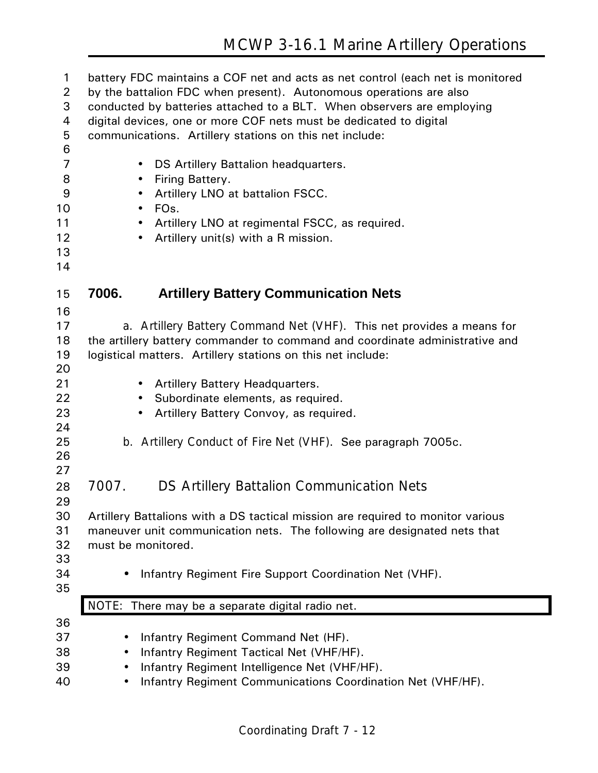### **MCWP 3-16.1 Marine Artillery Operations**

| 1<br>$\overline{2}$<br>3<br>4<br>5<br>6<br>7<br>8<br>9<br>10<br>11<br>12<br>13<br>14 | battery FDC maintains a COF net and acts as net control (each net is monitored<br>by the battalion FDC when present). Autonomous operations are also<br>conducted by batteries attached to a BLT. When observers are employing<br>digital devices, one or more COF nets must be dedicated to digital<br>communications. Artillery stations on this net include:<br>DS Artillery Battalion headquarters.<br>$\bullet$<br>Firing Battery.<br>$\bullet$<br>Artillery LNO at battalion FSCC.<br>$\bullet$<br>FO <sub>s</sub> .<br>$\bullet$<br>Artillery LNO at regimental FSCC, as required.<br>$\bullet$<br>Artillery unit(s) with a R mission.<br>$\bullet$ |  |
|--------------------------------------------------------------------------------------|------------------------------------------------------------------------------------------------------------------------------------------------------------------------------------------------------------------------------------------------------------------------------------------------------------------------------------------------------------------------------------------------------------------------------------------------------------------------------------------------------------------------------------------------------------------------------------------------------------------------------------------------------------|--|
| 15                                                                                   | <b>Artillery Battery Communication Nets</b><br>7006.                                                                                                                                                                                                                                                                                                                                                                                                                                                                                                                                                                                                       |  |
| 16                                                                                   |                                                                                                                                                                                                                                                                                                                                                                                                                                                                                                                                                                                                                                                            |  |
| 17                                                                                   | a. Artillery Battery Command Net (VHF). This net provides a means for                                                                                                                                                                                                                                                                                                                                                                                                                                                                                                                                                                                      |  |
| 18                                                                                   | the artillery battery commander to command and coordinate administrative and                                                                                                                                                                                                                                                                                                                                                                                                                                                                                                                                                                               |  |
| 19                                                                                   | logistical matters. Artillery stations on this net include:                                                                                                                                                                                                                                                                                                                                                                                                                                                                                                                                                                                                |  |
| 20                                                                                   |                                                                                                                                                                                                                                                                                                                                                                                                                                                                                                                                                                                                                                                            |  |
| 21                                                                                   | Artillery Battery Headquarters.<br>$\bullet$                                                                                                                                                                                                                                                                                                                                                                                                                                                                                                                                                                                                               |  |
| 22                                                                                   | Subordinate elements, as required.<br>$\bullet$                                                                                                                                                                                                                                                                                                                                                                                                                                                                                                                                                                                                            |  |
| 23                                                                                   | Artillery Battery Convoy, as required.<br>$\bullet$                                                                                                                                                                                                                                                                                                                                                                                                                                                                                                                                                                                                        |  |
| 24                                                                                   |                                                                                                                                                                                                                                                                                                                                                                                                                                                                                                                                                                                                                                                            |  |
| 25<br>26<br>27                                                                       | b. Artillery Conduct of Fire Net (VHF). See paragraph 7005c.                                                                                                                                                                                                                                                                                                                                                                                                                                                                                                                                                                                               |  |
| 28                                                                                   | 7007.<br><b>DS Artillery Battalion Communication Nets</b>                                                                                                                                                                                                                                                                                                                                                                                                                                                                                                                                                                                                  |  |
| 29                                                                                   |                                                                                                                                                                                                                                                                                                                                                                                                                                                                                                                                                                                                                                                            |  |
| 30                                                                                   | Artillery Battalions with a DS tactical mission are required to monitor various                                                                                                                                                                                                                                                                                                                                                                                                                                                                                                                                                                            |  |
| 31                                                                                   | maneuver unit communication nets. The following are designated nets that                                                                                                                                                                                                                                                                                                                                                                                                                                                                                                                                                                                   |  |
| 32                                                                                   | must be monitored.                                                                                                                                                                                                                                                                                                                                                                                                                                                                                                                                                                                                                                         |  |
| 33                                                                                   |                                                                                                                                                                                                                                                                                                                                                                                                                                                                                                                                                                                                                                                            |  |
| 34                                                                                   | Infantry Regiment Fire Support Coordination Net (VHF).                                                                                                                                                                                                                                                                                                                                                                                                                                                                                                                                                                                                     |  |
| 35                                                                                   |                                                                                                                                                                                                                                                                                                                                                                                                                                                                                                                                                                                                                                                            |  |
|                                                                                      | NOTE: There may be a separate digital radio net.                                                                                                                                                                                                                                                                                                                                                                                                                                                                                                                                                                                                           |  |
| 36                                                                                   |                                                                                                                                                                                                                                                                                                                                                                                                                                                                                                                                                                                                                                                            |  |
| 37                                                                                   | Infantry Regiment Command Net (HF).                                                                                                                                                                                                                                                                                                                                                                                                                                                                                                                                                                                                                        |  |
| 38                                                                                   | Infantry Regiment Tactical Net (VHF/HF).<br>$\bullet$                                                                                                                                                                                                                                                                                                                                                                                                                                                                                                                                                                                                      |  |
| 39                                                                                   | Infantry Regiment Intelligence Net (VHF/HF).                                                                                                                                                                                                                                                                                                                                                                                                                                                                                                                                                                                                               |  |
| 40                                                                                   | Infantry Regiment Communications Coordination Net (VHF/HF).<br>$\bullet$                                                                                                                                                                                                                                                                                                                                                                                                                                                                                                                                                                                   |  |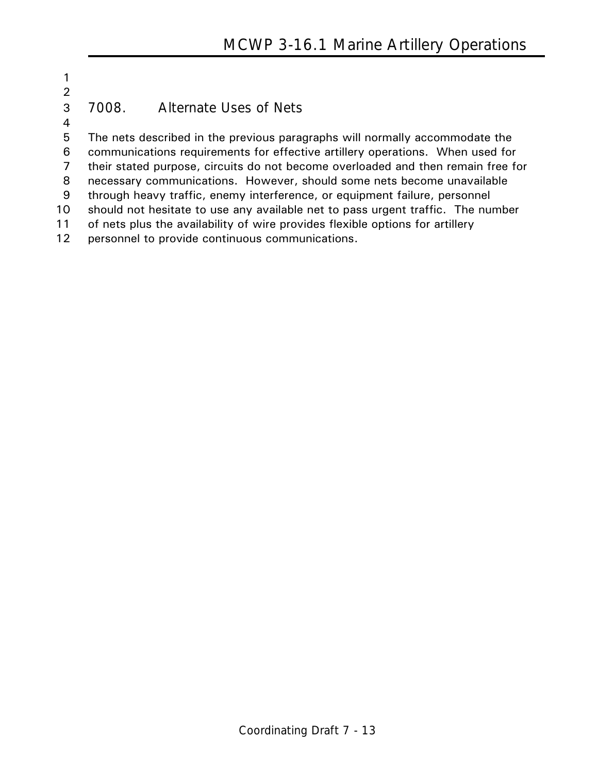#### **7008. Alternate Uses of Nets**

 The nets described in the previous paragraphs will normally accommodate the communications requirements for effective artillery operations. When used for their stated purpose, circuits do not become overloaded and then remain free for necessary communications. However, should some nets become unavailable through heavy traffic, enemy interference, or equipment failure, personnel should not hesitate to use any available net to pass urgent traffic. The number of nets plus the availability of wire provides flexible options for artillery personnel to provide continuous communications.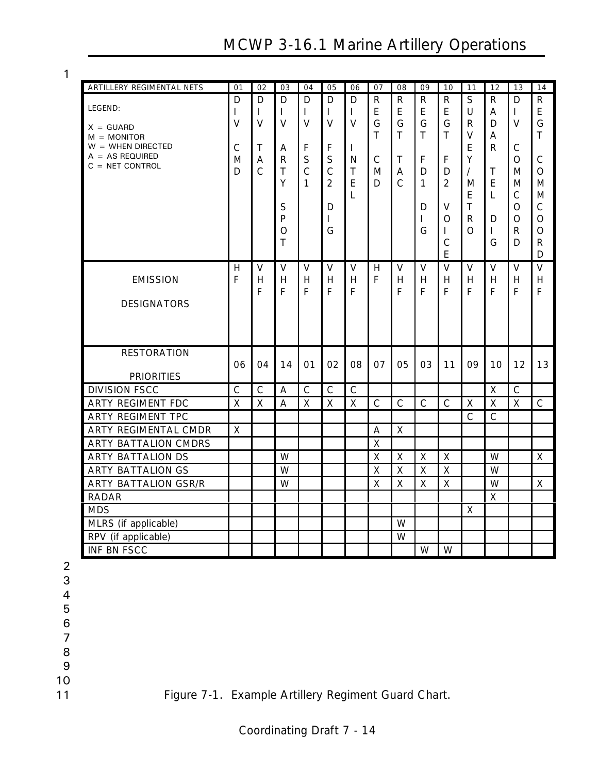### **MCWP 3-16.1 Marine Artillery Operations**

1

| <b>ARTILLERY REGIMENTAL NETS</b><br><b>LEGEND:</b><br>$X = GUARD$<br>$M = MOMITOR$<br>$W = WHEN DIRECTED$<br>$=$ AS REQUIRED<br>А<br>$C = NET$ CONTROL | 01<br>D<br>ı<br>$\mathsf{V}$<br>$\mathbf C$<br>M<br>D | 02<br>D<br>L<br>$\mathsf{V}$<br>T<br>A<br>$\mathcal{C}$ | 03<br>D<br>$\mathbf{I}$<br>$\mathsf{V}$<br>A<br>$\mathsf{R}$<br>T<br>Y<br>S<br>P<br>$\mathbf O$<br>T | 04<br>D<br>L<br>$\mathsf{V}$<br>F<br>S<br>$\mathbf{C}$<br>1 | 05<br>D<br>L<br>$\mathsf{V}$<br>F<br>$\mathsf{S}$<br>$\mathbf C$<br>$\overline{2}$<br>D<br>ı<br>G | 06<br>D<br>I<br>$\mathsf{V}$<br>I<br>N<br>T<br>E<br>L | 07<br>$\mathsf{R}$<br>E<br>G<br>T<br>$\mathbf C$<br>M<br>D | 08<br>$\mathsf R$<br>E<br>G<br>т<br>т<br>A<br>$\mathbf C$ | 09<br>$\mathsf R$<br>E<br>G<br>T<br>F<br>D<br>1<br>D<br>I<br>G | 10<br>$\mathsf{R}$<br>E<br>G<br>T.<br>F<br>D<br>$\overline{2}$<br>v<br>O<br>L<br>$\mathbf C$ | 11<br>$\mathsf{S}$<br>U<br>$\mathsf R$<br>v<br>E<br>Y<br>$\prime$<br>M<br>Е<br>т<br>R<br>O | 12<br>$\mathsf{R}$<br>A<br>D<br>A<br>R<br>T<br>E<br>L<br>D<br>$\mathbf{I}$<br>G | 13<br>D<br>Т<br>$\mathsf{V}$<br>$\mathbf C$<br>O<br>м<br>M<br>$\mathbf C$<br>O<br>$\mathbf O$<br>$\mathsf{R}$<br>D | 14<br>$\mathsf R$<br>E<br>G<br>T<br>$\mathbf C$<br>$\mathbf O$<br>M<br>M<br>$\mathbf C$<br>$\mathbf O$<br>$\mathbf O$<br>$\mathsf{R}$ |
|--------------------------------------------------------------------------------------------------------------------------------------------------------|-------------------------------------------------------|---------------------------------------------------------|------------------------------------------------------------------------------------------------------|-------------------------------------------------------------|---------------------------------------------------------------------------------------------------|-------------------------------------------------------|------------------------------------------------------------|-----------------------------------------------------------|----------------------------------------------------------------|----------------------------------------------------------------------------------------------|--------------------------------------------------------------------------------------------|---------------------------------------------------------------------------------|--------------------------------------------------------------------------------------------------------------------|---------------------------------------------------------------------------------------------------------------------------------------|
| <b>EMISSION</b><br><b>DESIGNATORS</b>                                                                                                                  | H<br>F                                                | V<br>H<br>F                                             | $\mathsf{V}$<br>$\overline{H}$<br>F                                                                  | V<br>H<br>F                                                 | V<br>H<br>F                                                                                       | v<br>H<br>F                                           | H<br>F                                                     | $\mathsf{V}$<br>H<br>F                                    | V<br>H<br>F                                                    | E<br>V<br>н<br>F                                                                             | $\mathsf{V}$<br>н<br>F                                                                     | $\mathsf{V}$<br>H<br>F                                                          | $\mathbf v$<br>$\overline{\mathsf{H}}$<br>F                                                                        | D<br>$\overline{\mathsf{V}}$<br>H<br>F                                                                                                |
| <b>RESTORATION</b><br><b>PRIORITIES</b>                                                                                                                | 06                                                    | 04                                                      | 14                                                                                                   | 01                                                          | 02                                                                                                | 08                                                    | 07                                                         | 05                                                        | 03                                                             | 11                                                                                           | 09                                                                                         | 10                                                                              | 12                                                                                                                 | 13                                                                                                                                    |
| <b>DIVISION FSCC</b>                                                                                                                                   | $\mathbf C$                                           | $\mathbf C$                                             | $\boldsymbol{A}$                                                                                     | $\mathsf{C}$                                                | $\mathbf C$                                                                                       | $\mathbf C$                                           |                                                            |                                                           |                                                                |                                                                                              |                                                                                            | X                                                                               | $\mathbf C$                                                                                                        |                                                                                                                                       |
| <b>ARTY REGIMENT FDC</b>                                                                                                                               | $\boldsymbol{\mathsf{X}}$                             | $\overline{\mathsf{X}}$                                 | $\overline{A}$                                                                                       | $\boldsymbol{\mathsf{X}}$                                   | $\boldsymbol{\mathsf{X}}$                                                                         | $\mathsf{X}$                                          | $\mathbf C$                                                | $\mathbf{C}$                                              | $\mathbf C$                                                    | $\mathbf C$                                                                                  | $\boldsymbol{\mathsf{X}}$                                                                  | $\mathsf{\overline{X}}$                                                         | $\overline{\mathsf{X}}$                                                                                            | $\mathbf C$                                                                                                                           |
| <b>ARTY REGIMENT TPC</b>                                                                                                                               |                                                       |                                                         |                                                                                                      |                                                             |                                                                                                   |                                                       |                                                            |                                                           |                                                                |                                                                                              | $\mathbf C$                                                                                | $\mathsf{C}$                                                                    |                                                                                                                    |                                                                                                                                       |
| <b>ARTY REGIMENTAL CMDR</b>                                                                                                                            | X                                                     |                                                         |                                                                                                      |                                                             |                                                                                                   |                                                       | A                                                          | X                                                         |                                                                |                                                                                              |                                                                                            |                                                                                 |                                                                                                                    |                                                                                                                                       |
| <b>ARTY BATTALION CMDRS</b>                                                                                                                            |                                                       |                                                         |                                                                                                      |                                                             |                                                                                                   |                                                       | $\boldsymbol{\mathsf{X}}$                                  |                                                           |                                                                |                                                                                              |                                                                                            |                                                                                 |                                                                                                                    |                                                                                                                                       |
| <b>ARTY BATTALION DS</b>                                                                                                                               |                                                       |                                                         | W                                                                                                    |                                                             |                                                                                                   |                                                       | X                                                          | $\boldsymbol{\mathsf{X}}$                                 | X                                                              | X                                                                                            |                                                                                            | W                                                                               |                                                                                                                    | $\boldsymbol{\mathsf{X}}$                                                                                                             |
| <b>ARTY BATTALION GS</b>                                                                                                                               |                                                       |                                                         | W                                                                                                    |                                                             |                                                                                                   |                                                       | X                                                          | $\pmb{\mathsf{X}}$                                        | X                                                              | X                                                                                            |                                                                                            | W                                                                               |                                                                                                                    |                                                                                                                                       |
| <b>ARTY BATTALION GSR/R</b>                                                                                                                            |                                                       |                                                         | W                                                                                                    |                                                             |                                                                                                   |                                                       | $\mathsf{X}$                                               | $\mathsf{X}$                                              | $\boldsymbol{\mathsf{X}}$                                      | X                                                                                            |                                                                                            | W                                                                               |                                                                                                                    | $\boldsymbol{\mathsf{X}}$                                                                                                             |
| <b>RADAR</b>                                                                                                                                           |                                                       |                                                         |                                                                                                      |                                                             |                                                                                                   |                                                       |                                                            |                                                           |                                                                |                                                                                              |                                                                                            | X                                                                               |                                                                                                                    |                                                                                                                                       |
| <b>MDS</b>                                                                                                                                             |                                                       |                                                         |                                                                                                      |                                                             |                                                                                                   |                                                       |                                                            |                                                           |                                                                |                                                                                              | $\boldsymbol{\mathsf{X}}$                                                                  |                                                                                 |                                                                                                                    |                                                                                                                                       |
| MLRS (if applicable)                                                                                                                                   |                                                       |                                                         |                                                                                                      |                                                             |                                                                                                   |                                                       |                                                            | W                                                         |                                                                |                                                                                              |                                                                                            |                                                                                 |                                                                                                                    |                                                                                                                                       |
| RPV (if applicable)                                                                                                                                    |                                                       |                                                         |                                                                                                      |                                                             |                                                                                                   |                                                       |                                                            | W                                                         |                                                                |                                                                                              |                                                                                            |                                                                                 |                                                                                                                    |                                                                                                                                       |
| <b>INF BN FSCC</b>                                                                                                                                     |                                                       |                                                         |                                                                                                      |                                                             |                                                                                                   |                                                       |                                                            |                                                           | W                                                              | W                                                                                            |                                                                                            |                                                                                 |                                                                                                                    |                                                                                                                                       |

- 2
- 3 4
- 5 6
- 7 8
- 9

10

11 **Figure 7-1. Example Artillery Regiment Guard Chart.**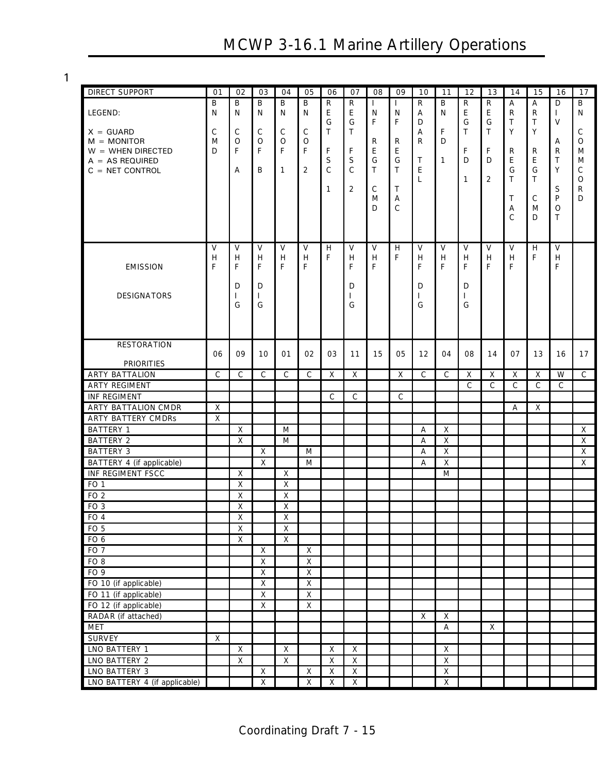### **MCWP 3-16.1 Marine Artillery Operations**

| <b>DIRECT SUPPORT</b>                      | 01                      | 02                                            | 03                      | 04                                            | 05                      | 06                      | 07                      | 08           | 09           | 10             | 11                        | 12             | 13                 | 14             | 15                 | 16           | 17                      |
|--------------------------------------------|-------------------------|-----------------------------------------------|-------------------------|-----------------------------------------------|-------------------------|-------------------------|-------------------------|--------------|--------------|----------------|---------------------------|----------------|--------------------|----------------|--------------------|--------------|-------------------------|
|                                            | B                       | B                                             | B                       | B                                             | B                       | ${\sf R}$               | R                       | L            | L            | ${\sf R}$      | В                         | ${\sf R}$      | ${\sf R}$          | A              | A                  | D            | B                       |
| <b>LEGEND:</b>                             | N                       | N                                             | N                       | N                                             | N                       | E                       | E                       | N            | N            | А              | N                         | E              | $\mathsf E$        | $\mathsf R$    | $\mathsf{R}$       | L            | N                       |
| $X = GUARD$                                | C                       | с                                             | C                       | С                                             | $\mathsf{C}$            | G<br>T                  | G<br>т                  | F            | F            | D<br>А         | F                         | G<br>T         | G<br>$\mathsf{T}$  | T<br>Y         | T<br>Υ             | v            | C                       |
| $M = MOMITOR$                              | м                       | $\mathbf O$                                   | $\mathbf O$             | o                                             | $\mathbf O$             |                         |                         | $\mathsf{R}$ | $\mathsf{R}$ | R              | D                         |                |                    |                |                    | Α            | O                       |
| $W = WHEN DIRECTED$                        | D                       | F                                             | F                       | F                                             | F                       | F                       | F                       | E            | E            |                |                           | F              | F                  | R              | R                  | $\mathsf{R}$ | M                       |
| $A = AS REQUIRED$                          |                         |                                               |                         |                                               |                         | S                       | S                       | G            | G            | т              | 1                         | D              | D                  | E              | E                  | T            | M                       |
| $C = NET$ CONTROL                          |                         | A                                             | В                       | 1                                             | $\overline{2}$          | $\mathbf{C}$            | C                       | T            | T.           | E              |                           |                |                    | G              | G                  | Y            | с                       |
|                                            |                         |                                               |                         |                                               |                         | $\mathbf{1}$            |                         |              | т            | Г              |                           | $\mathbf{1}$   | $\overline{2}$     | T.             | T                  |              | $\mathbf O$<br>R        |
|                                            |                         |                                               |                         |                                               |                         |                         | 2                       | C<br>М       | A            |                |                           |                |                    | т              | $\mathbf c$        | s<br>P       | D                       |
|                                            |                         |                                               |                         |                                               |                         |                         |                         | D            | $\mathbf{C}$ |                |                           |                |                    | Α              | м                  | o            |                         |
|                                            |                         |                                               |                         |                                               |                         |                         |                         |              |              |                |                           |                |                    | C              | D                  | T.           |                         |
|                                            |                         |                                               |                         |                                               |                         |                         |                         |              |              |                |                           |                |                    |                |                    |              |                         |
|                                            |                         |                                               |                         |                                               |                         |                         |                         |              |              |                |                           |                |                    |                |                    |              |                         |
|                                            | v<br>н                  | v<br>н                                        | v<br>H                  | v<br>н                                        | v<br>H                  | н<br>F                  | v<br>н                  | v<br>н       | н<br>F       | v<br>н         | $\mathsf{V}$<br>н         | v<br>н         | v<br>н             | v<br>H         | н<br>F             | v<br>H       |                         |
| <b>EMISSION</b>                            | F                       | F                                             | F                       | F                                             | F                       |                         | F                       | F            |              | F              | F                         | F              | F                  | F              |                    | F            |                         |
|                                            |                         |                                               |                         |                                               |                         |                         |                         |              |              |                |                           |                |                    |                |                    |              |                         |
|                                            |                         | D                                             | D                       |                                               |                         |                         | D                       |              |              | D              |                           | D              |                    |                |                    |              |                         |
| <b>DESIGNATORS</b>                         |                         | ı                                             |                         |                                               |                         |                         |                         |              |              |                |                           |                |                    |                |                    |              |                         |
|                                            |                         | G                                             | G                       |                                               |                         |                         | G                       |              |              | G              |                           | G              |                    |                |                    |              |                         |
|                                            |                         |                                               |                         |                                               |                         |                         |                         |              |              |                |                           |                |                    |                |                    |              |                         |
|                                            |                         |                                               |                         |                                               |                         |                         |                         |              |              |                |                           |                |                    |                |                    |              |                         |
| <b>RESTORATION</b>                         |                         |                                               |                         |                                               |                         |                         |                         |              |              |                |                           |                |                    |                |                    |              |                         |
|                                            | 06                      | 09                                            | 10                      | 01                                            | 02                      | 03                      | 11                      | 15           | 05           | 12             | 04                        | 08             | 14                 | 07             | 13                 | 16           | 17                      |
| <b>PRIORITIES</b><br><b>ARTY BATTALION</b> | C                       | $\mathsf{C}$                                  | C                       | C                                             | C                       | X                       | X                       |              | X            | C              | C                         | X              | X                  | X              | X                  | W            | C                       |
| <b>ARTY REGIMENT</b>                       |                         |                                               |                         |                                               |                         |                         |                         |              |              |                |                           | $\overline{c}$ | $\mathsf{C}$       | $\overline{c}$ | $\overline{c}$     | $\mathsf{C}$ |                         |
| <b>INF REGIMENT</b>                        |                         |                                               |                         |                                               |                         | $\mathsf{C}$            | C                       |              | C            |                |                           |                |                    |                |                    |              |                         |
| <b>ARTY BATTALION CMDR</b>                 | $\overline{\mathbf{x}}$ |                                               |                         |                                               |                         |                         |                         |              |              |                |                           |                |                    | $\mathsf{A}$   | $\pmb{\mathsf{X}}$ |              |                         |
| <b>ARTY BATTERY CMDRs</b>                  | $\pmb{\times}$          |                                               |                         |                                               |                         |                         |                         |              |              |                |                           |                |                    |                |                    |              |                         |
| <b>BATTERY 1</b>                           |                         | $\pmb{\mathsf{X}}$                            |                         | M                                             |                         |                         |                         |              |              | A              | $\boldsymbol{\mathsf{X}}$ |                |                    |                |                    |              | $\pmb{\mathsf{X}}$      |
| <b>BATTERY 2</b>                           |                         | X                                             |                         | м                                             |                         |                         |                         |              |              | A              | $\boldsymbol{\mathsf{x}}$ |                |                    |                |                    |              | X                       |
| <b>BATTERY 3</b>                           |                         |                                               | $\mathsf{x}$            |                                               | M                       |                         |                         |              |              | A              | $\overline{\mathbf{x}}$   |                |                    |                |                    |              | $\overline{\mathbf{x}}$ |
| BATTERY 4 (if applicable)                  |                         |                                               | X                       |                                               | м                       |                         |                         |              |              | А              | X                         |                |                    |                |                    |              | $\pmb{\mathsf{X}}$      |
| <b>INF REGIMENT FSCC</b>                   |                         | $\pmb{\times}$                                |                         | $\boldsymbol{\mathsf{X}}$                     |                         |                         |                         |              |              |                | M                         |                |                    |                |                    |              |                         |
| FO <sub>1</sub>                            |                         | $\pmb{\times}$                                |                         | $\pmb{\mathsf{X}}$                            |                         |                         |                         |              |              |                |                           |                |                    |                |                    |              |                         |
| FO <sub>2</sub>                            |                         | $\overline{\mathsf{x}}$                       |                         | $\overline{\mathbf{x}}$                       |                         |                         |                         |              |              |                |                           |                |                    |                |                    |              |                         |
| FO <sub>3</sub>                            |                         | $\pmb{\times}$                                |                         | $\pmb{\mathsf{X}}$                            |                         |                         |                         |              |              |                |                           |                |                    |                |                    |              |                         |
| FO <sub>4</sub>                            |                         | $\overline{\mathsf{x}}$                       |                         | X                                             |                         |                         |                         |              |              |                |                           |                |                    |                |                    |              |                         |
| FO <sub>5</sub><br>FO <sub>6</sub>         |                         | $\pmb{\mathsf{X}}$<br>$\overline{\mathsf{x}}$ |                         | $\pmb{\mathsf{X}}$<br>$\overline{\mathsf{x}}$ |                         |                         |                         |              |              |                |                           |                |                    |                |                    |              |                         |
| FO <sub>7</sub>                            |                         |                                               | $\pmb{\times}$          |                                               | $\pmb{\times}$          |                         |                         |              |              |                |                           |                |                    |                |                    |              |                         |
| FO <sub>8</sub>                            |                         |                                               | $\overline{\mathsf{x}}$ |                                               | $\overline{\mathsf{x}}$ |                         |                         |              |              |                |                           |                |                    |                |                    |              |                         |
| FO9                                        |                         |                                               | $\overline{\mathbf{x}}$ |                                               | $\overline{\mathsf{x}}$ |                         |                         |              |              |                |                           |                |                    |                |                    |              |                         |
| FO 10 (if applicable)                      |                         |                                               | $\overline{\mathbf{x}}$ |                                               | $\overline{\mathbf{x}}$ |                         |                         |              |              |                |                           |                |                    |                |                    |              |                         |
| FO 11 (if applicable)                      |                         |                                               | $\overline{\mathbf{x}}$ |                                               | $\overline{\mathsf{x}}$ |                         |                         |              |              |                |                           |                |                    |                |                    |              |                         |
| FO 12 (if applicable)                      |                         |                                               | $\overline{\mathbf{x}}$ |                                               | $\overline{\mathsf{x}}$ |                         |                         |              |              |                |                           |                |                    |                |                    |              |                         |
| RADAR (if attached)                        |                         |                                               |                         |                                               |                         |                         |                         |              |              | $\pmb{\times}$ | X                         |                |                    |                |                    |              |                         |
| <b>MET</b>                                 |                         |                                               |                         |                                               |                         |                         |                         |              |              |                | $\boldsymbol{\mathsf{A}}$ |                | $\pmb{\mathsf{X}}$ |                |                    |              |                         |
| <b>SURVEY</b>                              | X                       |                                               |                         |                                               |                         |                         |                         |              |              |                |                           |                |                    |                |                    |              |                         |
| <b>LNO BATTERY 1</b>                       |                         | $\pmb{\mathsf{x}}$                            |                         | $\pmb{\mathsf{X}}$                            |                         | $\pmb{\times}$          | $\pmb{\mathsf{X}}$      |              |              |                | $\pmb{\times}$            |                |                    |                |                    |              |                         |
| <b>LNO BATTERY 2</b>                       |                         | $\overline{\mathsf{x}}$                       |                         | $\overline{\mathbf{x}}$                       |                         | $\overline{\mathbf{x}}$ | $\overline{\mathbf{x}}$ |              |              |                | $\overline{\mathbf{x}}$   |                |                    |                |                    |              |                         |
| <b>LNO BATTERY 3</b>                       |                         |                                               | $\overline{\mathbf{x}}$ |                                               | $\pmb{\times}$          | $\overline{\mathsf{x}}$ | $\overline{\mathbf{x}}$ |              |              |                | $\overline{\mathbf{x}}$   |                |                    |                |                    |              |                         |
| LNO BATTERY 4 (if applicable)              |                         |                                               | $\overline{\mathbf{x}}$ |                                               | $\overline{\mathbf{x}}$ | $\overline{\mathbf{x}}$ | $\overline{\mathbf{x}}$ |              |              |                | $\overline{\mathsf{x}}$   |                |                    |                |                    |              |                         |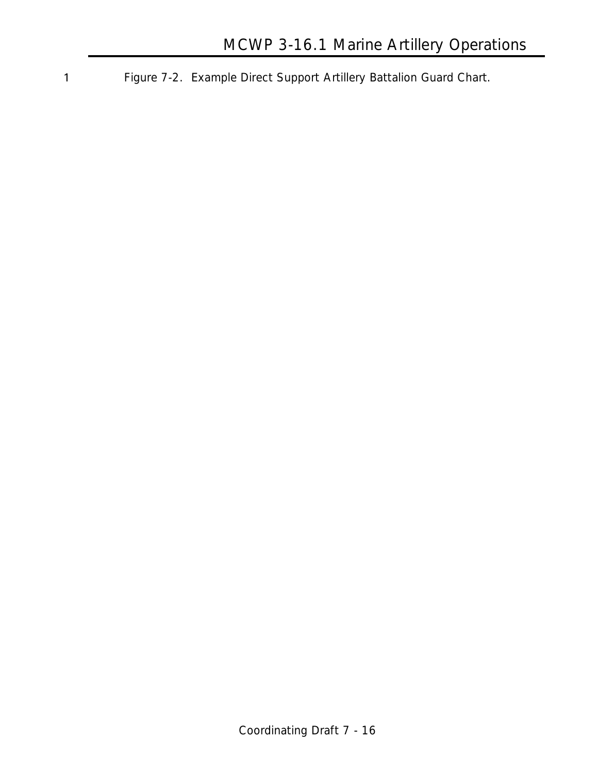1 **Figure 7-2. Example Direct Support Artillery Battalion Guard Chart.**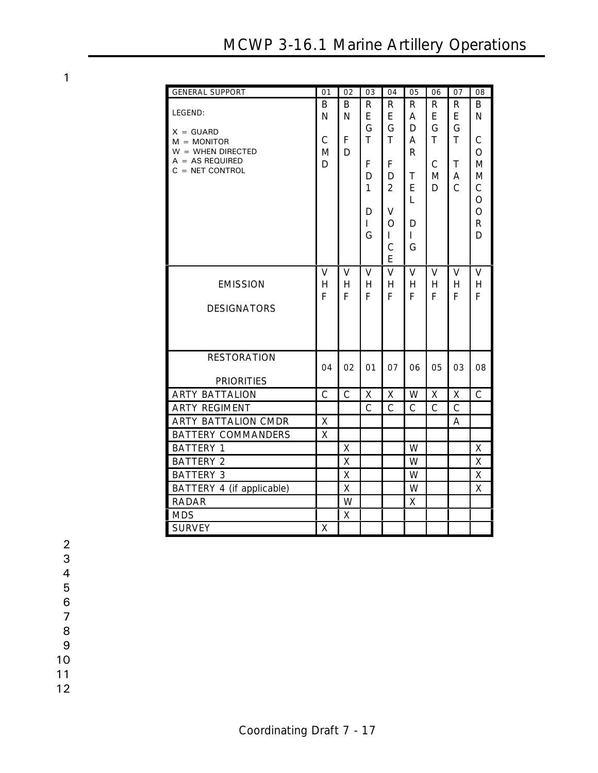| ۰.<br>a. |  |
|----------|--|
|          |  |
|          |  |

| <b>GENERAL SUPPORT</b>                                                                                         | 01                    | 02                     | 03                                             | 04                                                                                                   | 05                                                  | 06                              | 07                                           | 08                                                                          |
|----------------------------------------------------------------------------------------------------------------|-----------------------|------------------------|------------------------------------------------|------------------------------------------------------------------------------------------------------|-----------------------------------------------------|---------------------------------|----------------------------------------------|-----------------------------------------------------------------------------|
| <b>LEGEND:</b><br>$X = GUARD$<br>$M = MOMITOR$<br>$W = W$ HEN DIRECTED<br>$= AS$ REQUIRED<br>$C = NET$ CONTROL | В<br>N<br>C<br>M<br>D | B<br>N<br>F<br>D       | R<br>E<br>G<br>T<br>F<br>D<br>1<br>D<br>L<br>G | R<br>E<br>G<br>T<br>F<br>D<br>$\overline{2}$<br>V<br>$\mathbf O$<br>$\mathbf{I}$<br>$\mathbf C$<br>E | R<br>Α<br>D<br>А<br>R<br>т<br>E<br>L<br>D<br>L<br>G | R<br>E<br>G<br>T<br>C<br>M<br>D | R<br>E<br>G<br>T<br>т<br>Α<br>$\overline{C}$ | В<br>N<br>C<br>O<br>M<br>M<br>$\mathsf{C}$<br>$\overline{O}$<br>O<br>R<br>D |
| <b>EMISSION</b><br><b>DESIGNATORS</b>                                                                          | V<br>Н<br>F           | $\mathsf{v}$<br>Η<br>F | $\mathsf{V}$<br>н<br>F                         | $\overline{\mathsf{V}}$<br>H<br>F                                                                    | V<br>н<br>F                                         | $\mathsf{v}$<br>Н<br>F          | $\mathsf{V}$<br>н<br>F                       | $\mathsf{V}$<br>н<br>F                                                      |
| <b>RESTORATION</b><br><b>PRIORITIES</b>                                                                        | 04                    | 02                     | 01                                             | 07                                                                                                   | 06                                                  | 05                              | 03                                           | 08                                                                          |
| <b>ARTY BATTALION</b>                                                                                          | $\mathsf{C}$          | $\mathbf C$            | $\pmb{\mathsf{X}}$                             | $\pmb{\mathsf{X}}$                                                                                   | W                                                   | X                               | $\pmb{\mathsf{X}}$                           | $\mathsf C$                                                                 |
| <b>ARTY REGIMENT</b>                                                                                           |                       |                        | $\mathbf C$                                    | $\mathsf{C}$                                                                                         | $\mathsf{C}$                                        | C                               | $\overline{C}$                               |                                                                             |
| <b>ARTY BATTALION CMDR</b>                                                                                     | X                     |                        |                                                |                                                                                                      |                                                     |                                 | A                                            |                                                                             |
| <b>BATTERY COMMANDERS</b>                                                                                      | X                     |                        |                                                |                                                                                                      |                                                     |                                 |                                              |                                                                             |
| <b>BATTERY 1</b>                                                                                               |                       | X                      |                                                |                                                                                                      | W                                                   |                                 |                                              | X                                                                           |
| <b>BATTERY 2</b>                                                                                               |                       | X                      |                                                |                                                                                                      | W                                                   |                                 |                                              | X                                                                           |
| <b>BATTERY 3</b>                                                                                               |                       | X                      |                                                |                                                                                                      | W                                                   |                                 |                                              | X                                                                           |
| <b>BATTERY 4 (if applicable)</b>                                                                               |                       | X                      |                                                |                                                                                                      | W                                                   |                                 |                                              | X                                                                           |
| <b>RADAR</b>                                                                                                   |                       | W                      |                                                |                                                                                                      | X                                                   |                                 |                                              |                                                                             |
| <b>MDS</b>                                                                                                     |                       | X                      |                                                |                                                                                                      |                                                     |                                 |                                              |                                                                             |
| <b>SURVEY</b>                                                                                                  | X                     |                        |                                                |                                                                                                      |                                                     |                                 |                                              |                                                                             |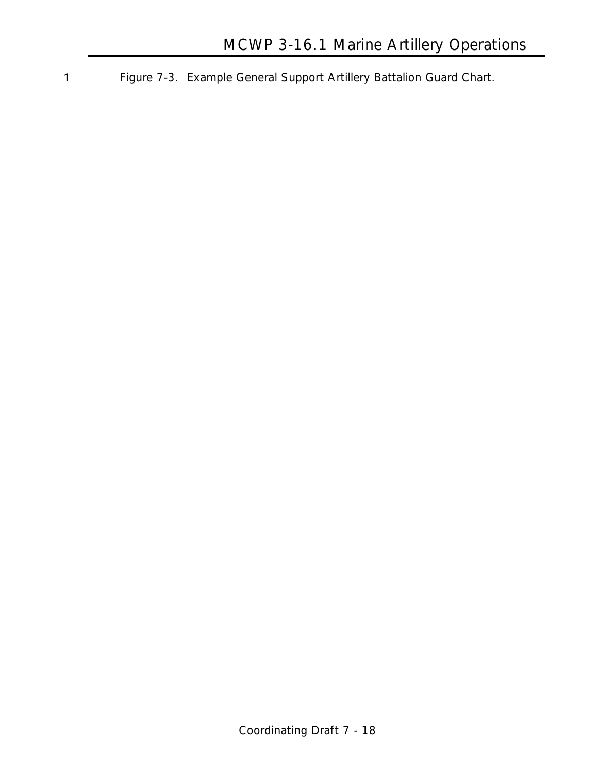1 **Figure 7-3. Example General Support Artillery Battalion Guard Chart.**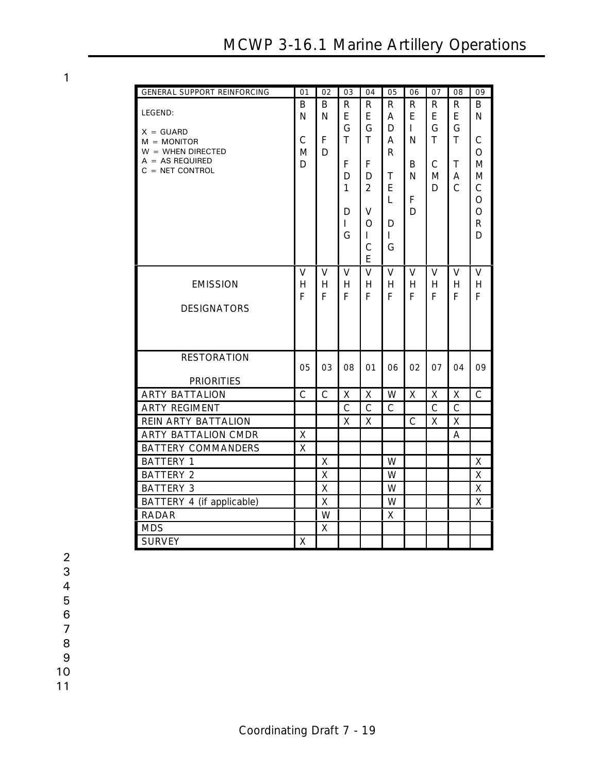1

| <b>GENERAL SUPPORT REINFORCING</b>                                                                               | 01                        | 02                      | 03                                             | 04                                                                    | 05                                                  | 06                                   | 07                                        | 08                                         | 09                                                  |
|------------------------------------------------------------------------------------------------------------------|---------------------------|-------------------------|------------------------------------------------|-----------------------------------------------------------------------|-----------------------------------------------------|--------------------------------------|-------------------------------------------|--------------------------------------------|-----------------------------------------------------|
| <b>LEGEND:</b><br>$X = GUARD$<br>$M = MOMITOR$<br>$W = W$ HEN DIRECTED<br>$A = AS REQUIRED$<br>$C = NET$ CONTROL | в<br>N<br>C<br>M<br>D     | B<br>N<br>F<br>D        | R<br>E<br>G<br>T<br>F<br>D<br>1<br>D<br>ı<br>G | R<br>E<br>G<br>T<br>F<br>D<br>$\overline{2}$<br>v<br>O<br>г<br>C<br>E | R<br>Α<br>D<br>A<br>R<br>T<br>E<br>L<br>D<br>L<br>G | R<br>E<br>г<br>N<br>в<br>N<br>F<br>D | R<br>E<br>G<br>т<br>$\mathsf C$<br>м<br>D | R<br>E<br>G<br>T<br>T<br>A<br>$\mathsf{C}$ | В<br>N<br>С<br>0<br>M<br>M<br>C<br>O<br>O<br>R<br>D |
| <b>EMISSION</b><br><b>DESIGNATORS</b>                                                                            | $\mathsf{V}$<br>н<br>F    | v<br>H<br>F             | $\mathsf{V}$<br>н<br>F                         | $\mathsf{V}$<br>н<br>F                                                | $\mathsf{V}$<br>H<br>F                              | $\mathsf{V}$<br>н<br>F               | v<br>н<br>F                               | $\mathsf{V}$<br>н<br>F                     | v<br>Н<br>F                                         |
| <b>RESTORATION</b><br><b>PRIORITIES</b>                                                                          | 05                        | 03                      | 08                                             | 01                                                                    | 06                                                  | 02                                   | 07                                        | 04                                         | 09                                                  |
| <b>ARTY BATTALION</b>                                                                                            | $\mathbf C$               | $\mathsf{C}$            | $\boldsymbol{\mathsf{X}}$                      | X                                                                     | W                                                   | X                                    | X                                         | $\mathsf{X}$                               | $\mathsf{C}$                                        |
| <b>ARTY REGIMENT</b>                                                                                             |                           |                         | $\mathbf C$                                    | $\mathbf C$                                                           | $\mathbf C$                                         |                                      | $\overline{C}$                            | $\overline{C}$                             |                                                     |
| <b>REIN ARTY BATTALION</b>                                                                                       |                           |                         | X                                              | X                                                                     |                                                     | $\mathsf{C}$                         | X                                         | X                                          |                                                     |
| <b>ARTY BATTALION CMDR</b>                                                                                       | X                         |                         |                                                |                                                                       |                                                     |                                      |                                           | A                                          |                                                     |
| <b>BATTERY COMMANDERS</b>                                                                                        | $\mathsf{X}$              |                         |                                                |                                                                       |                                                     |                                      |                                           |                                            |                                                     |
| <b>BATTERY 1</b>                                                                                                 |                           | X                       |                                                |                                                                       | W                                                   |                                      |                                           |                                            | Χ                                                   |
| <b>BATTERY 2</b>                                                                                                 |                           | $\mathsf{X}$            |                                                |                                                                       | W                                                   |                                      |                                           |                                            | X                                                   |
| <b>BATTERY 3</b>                                                                                                 |                           | $\overline{\mathsf{X}}$ |                                                |                                                                       | W                                                   |                                      |                                           |                                            | X                                                   |
| BATTERY 4 (if applicable)                                                                                        |                           | $\mathsf{X}$            |                                                |                                                                       | W                                                   |                                      |                                           |                                            | X                                                   |
| <b>RADAR</b>                                                                                                     |                           | W                       |                                                |                                                                       | X                                                   |                                      |                                           |                                            |                                                     |
| <b>MDS</b>                                                                                                       |                           | X                       |                                                |                                                                       |                                                     |                                      |                                           |                                            |                                                     |
| <b>SURVEY</b>                                                                                                    | $\boldsymbol{\mathsf{X}}$ |                         |                                                |                                                                       |                                                     |                                      |                                           |                                            |                                                     |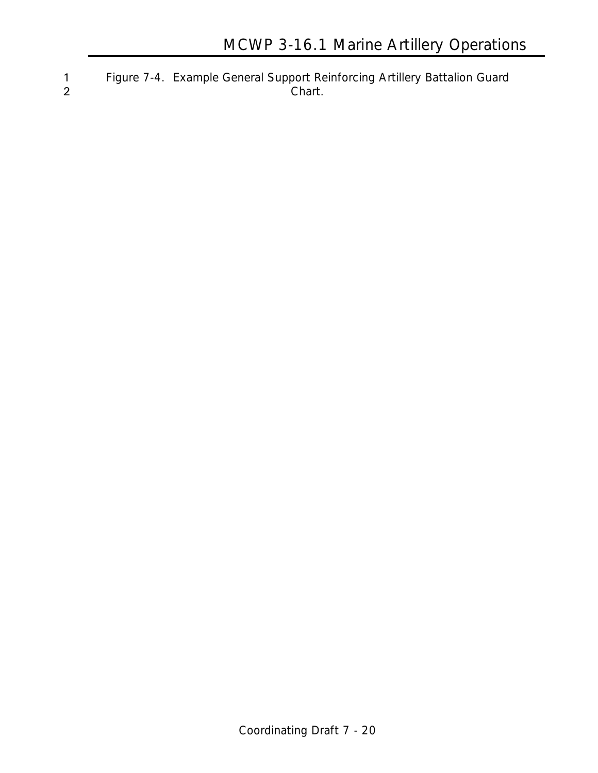1 **Figure 7-4. Example General Support Reinforcing Artillery Battalion Guard** 2 **Chart.**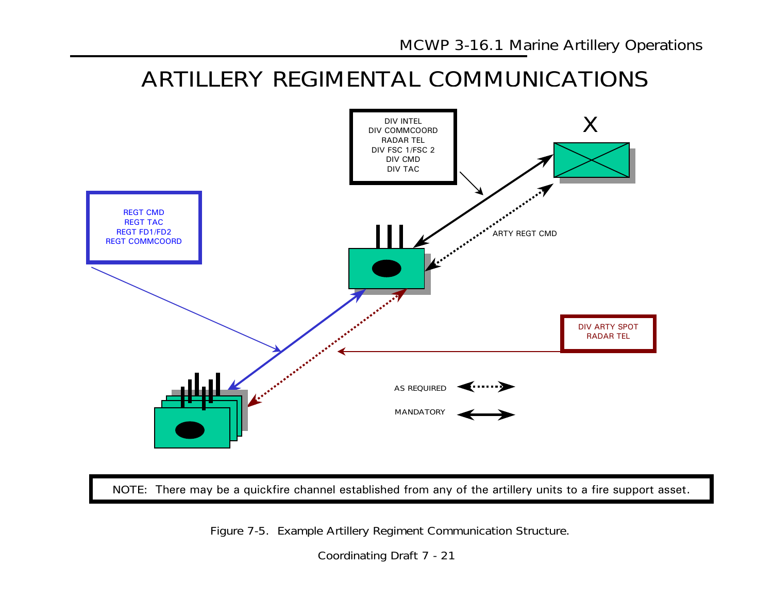# **ARTILLERY REGIMENTAL COMMUNICATIONS**



**NOTE:** There may be a quickfire channel established from any of the artillery units to a fire support asset.

**Figure 7-5. Example Artillery Regiment Communication Structure.**

**Coordinating Draft 7 - 21**